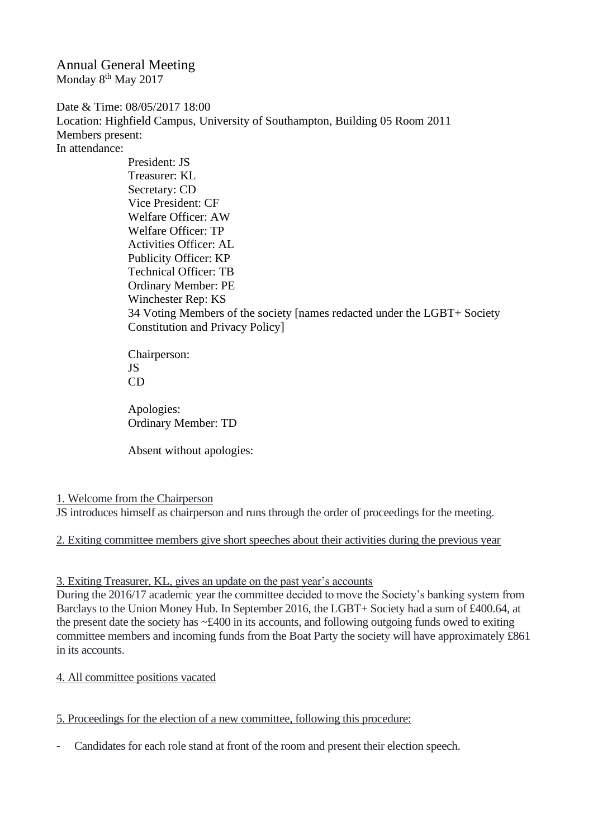Annual General Meeting Monday 8<sup>th</sup> May 2017

Date & Time: 08/05/2017 18:00 Location: Highfield Campus, University of Southampton, Building 05 Room 2011 Members present: In attendance:

> President: JS Treasurer: KL Secretary: CD Vice President: CF Welfare Officer: AW Welfare Officer: TP Activities Officer: AL Publicity Officer: KP Technical Officer: TB Ordinary Member: PE Winchester Rep: KS 34 Voting Members of the society [names redacted under the LGBT+ Society Constitution and Privacy Policy]

Chairperson: JS CD

Apologies: Ordinary Member: TD

Absent without apologies:

## 1. Welcome from the Chairperson

JS introduces himself as chairperson and runs through the order of proceedings for the meeting.

2. Exiting committee members give short speeches about their activities during the previous year

## 3. Exiting Treasurer, KL, gives an update on the past year's accounts

During the 2016/17 academic year the committee decided to move the Society's banking system from Barclays to the Union Money Hub. In September 2016, the LGBT+ Society had a sum of £400.64, at the present date the society has ~£400 in its accounts, and following outgoing funds owed to exiting committee members and incoming funds from the Boat Party the society will have approximately £861 in its accounts.

## 4. All committee positions vacated

5. Proceedings for the election of a new committee, following this procedure:

- Candidates for each role stand at front of the room and present their election speech.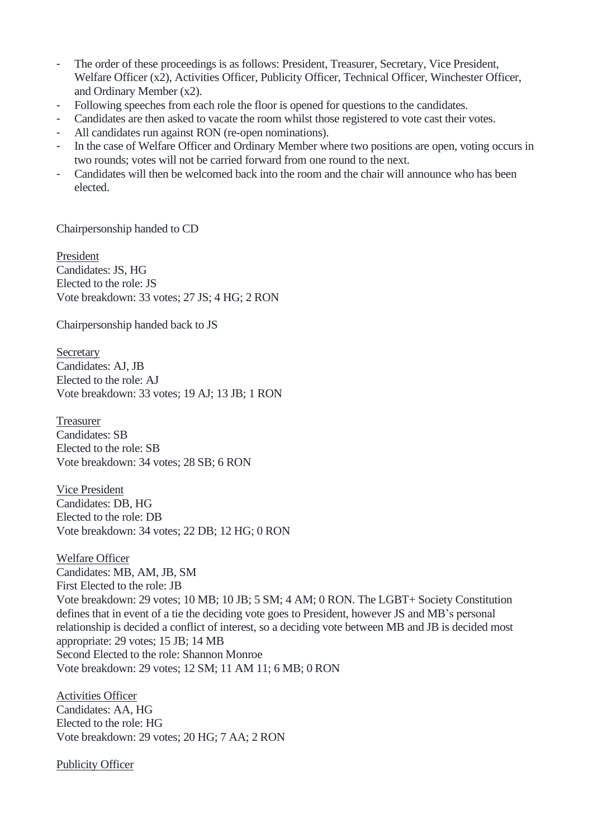- The order of these proceedings is as follows: President, Treasurer, Secretary, Vice President, Welfare Officer (x2), Activities Officer, Publicity Officer, Technical Officer, Winchester Officer, and Ordinary Member (x2).
- Following speeches from each role the floor is opened for questions to the candidates.
- Candidates are then asked to vacate the room whilst those registered to vote cast their votes.
- All candidates run against RON (re-open nominations).
- In the case of Welfare Officer and Ordinary Member where two positions are open, voting occurs in two rounds; votes will not be carried forward from one round to the next.
- Candidates will then be welcomed back into the room and the chair will announce who has been elected.

Chairpersonship handed to CD

President Candidates: JS, HG Elected to the role: JS Vote breakdown: 33 votes; 27 JS; 4 HG; 2 RON

Chairpersonship handed back to JS

**Secretary** Candidates: AJ, JB Elected to the role: AJ Vote breakdown: 33 votes; 19 AJ; 13 JB; 1 RON

Treasurer Candidates: SB Elected to the role: SB Vote breakdown: 34 votes; 28 SB; 6 RON

Vice President Candidates: DB, HG Elected to the role: DB Vote breakdown: 34 votes; 22 DB; 12 HG; 0 RON

Welfare Officer Candidates: MB, AM, JB, SM First Elected to the role: JB Vote breakdown: 29 votes; 10 MB; 10 JB; 5 SM; 4 AM; 0 RON. The LGBT+ Society Constitution defines that in event of a tie the deciding vote goes to President, however JS and MB's personal relationship is decided a conflict of interest, so a deciding vote between MB and JB is decided most appropriate: 29 votes; 15 JB; 14 MB Second Elected to the role: Shannon Monroe Vote breakdown: 29 votes; 12 SM; 11 AM 11; 6 MB; 0 RON

Activities Officer Candidates: AA, HG Elected to the role: HG Vote breakdown: 29 votes; 20 HG; 7 AA; 2 RON

Publicity Officer